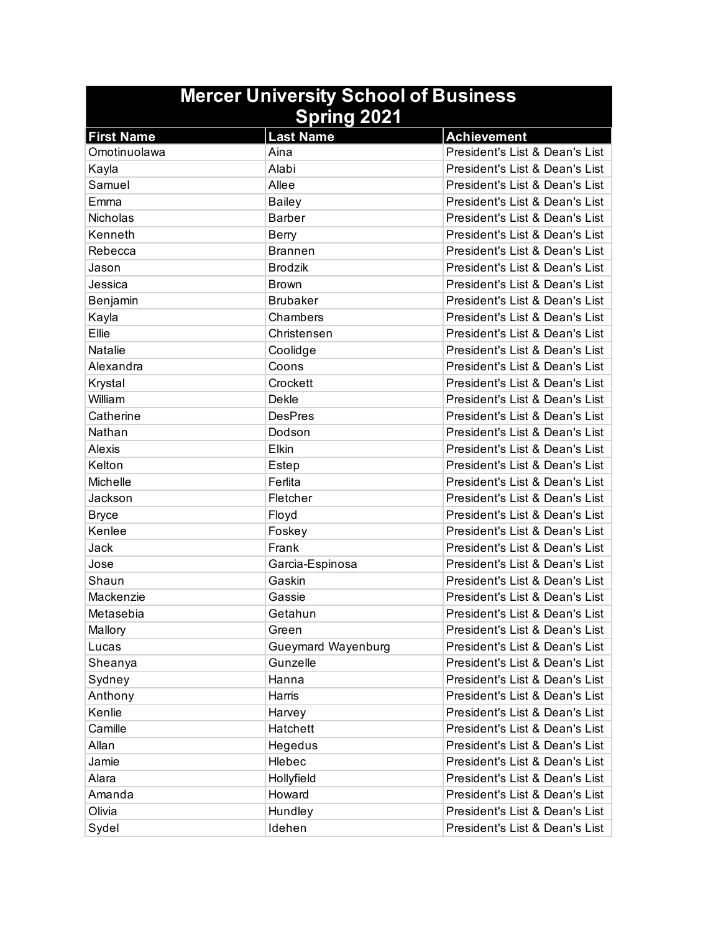| <b>Mercer University School of Business</b> |                           |                                |
|---------------------------------------------|---------------------------|--------------------------------|
| <b>Spring 2021</b>                          |                           |                                |
| <b>First Name</b>                           | <b>Last Name</b>          | <b>Achievement</b>             |
| Omotinuolawa                                | Aina                      | President's List & Dean's List |
| Kayla                                       | Alabi                     | President's List & Dean's List |
| Samuel                                      | Allee                     | President's List & Dean's List |
| Emma                                        | <b>Bailey</b>             | President's List & Dean's List |
| Nicholas                                    | <b>Barber</b>             | President's List & Dean's List |
| Kenneth                                     | Berry                     | President's List & Dean's List |
| Rebecca                                     | <b>Brannen</b>            | President's List & Dean's List |
| Jason                                       | <b>Brodzik</b>            | President's List & Dean's List |
| Jessica                                     | <b>Brown</b>              | President's List & Dean's List |
| Benjamin                                    | <b>Brubaker</b>           | President's List & Dean's List |
| Kayla                                       | Chambers                  | President's List & Dean's List |
| Ellie                                       | Christensen               | President's List & Dean's List |
| Natalie                                     | Coolidge                  | President's List & Dean's List |
| Alexandra                                   | Coons                     | President's List & Dean's List |
| Krystal                                     | Crockett                  | President's List & Dean's List |
| William                                     | <b>Dekle</b>              | President's List & Dean's List |
| Catherine                                   | <b>DesPres</b>            | President's List & Dean's List |
| Nathan                                      | Dodson                    | President's List & Dean's List |
| <b>Alexis</b>                               | Elkin                     | President's List & Dean's List |
| Kelton                                      | Estep                     | President's List & Dean's List |
| <b>Michelle</b>                             | Ferlita                   | President's List & Dean's List |
| Jackson                                     | Fletcher                  | President's List & Dean's List |
| <b>Bryce</b>                                | Floyd                     | President's List & Dean's List |
| Kenlee                                      | Foskey                    | President's List & Dean's List |
| Jack                                        | Frank                     | President's List & Dean's List |
| Jose                                        | Garcia-Espinosa           | President's List & Dean's List |
| Shaun                                       | Gaskin                    | President's List & Dean's List |
| Mackenzie                                   | Gassie                    | President's List & Dean's List |
| Metasebia                                   | Getahun                   | President's List & Dean's List |
| Mallory                                     | Green                     | President's List & Dean's List |
| Lucas                                       | <b>Gueymard Wayenburg</b> | President's List & Dean's List |
| Sheanya                                     | Gunzelle                  | President's List & Dean's List |
| Sydney                                      | Hanna                     | President's List & Dean's List |
| Anthony                                     | Harris                    | President's List & Dean's List |
| Kenlie                                      | Harvey                    | President's List & Dean's List |
| Camille                                     | Hatchett                  | President's List & Dean's List |
| Allan                                       | Hegedus                   | President's List & Dean's List |
| Jamie                                       | Hlebec                    | President's List & Dean's List |
| Alara                                       | Hollyfield                | President's List & Dean's List |
| Amanda                                      | Howard                    | President's List & Dean's List |
| Olivia                                      | Hundley                   | President's List & Dean's List |
| Sydel                                       | Idehen                    | President's List & Dean's List |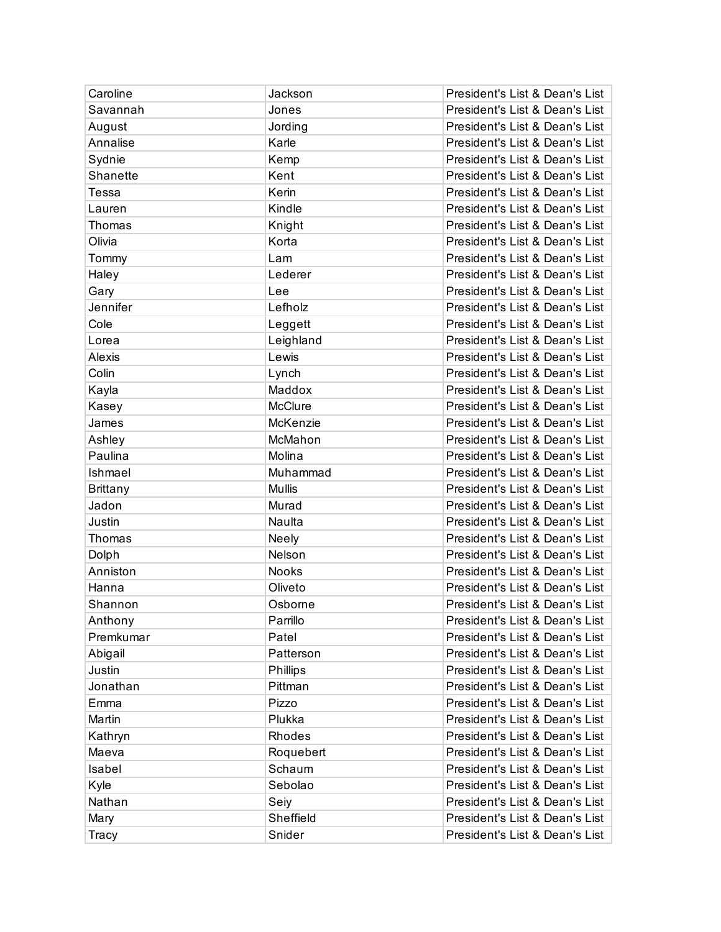| Caroline        | Jackson       | President's List & Dean's List |
|-----------------|---------------|--------------------------------|
| Savannah        | Jones         | President's List & Dean's List |
| August          | Jording       | President's List & Dean's List |
| Annalise        | Karle         | President's List & Dean's List |
| Sydnie          | Kemp          | President's List & Dean's List |
| Shanette        | Kent          | President's List & Dean's List |
| Tessa           | Kerin         | President's List & Dean's List |
| Lauren          | Kindle        | President's List & Dean's List |
| Thomas          | Knight        | President's List & Dean's List |
| Olivia          | Korta         | President's List & Dean's List |
| Tommy           | Lam           | President's List & Dean's List |
| Haley           | Lederer       | President's List & Dean's List |
| Gary            | Lee           | President's List & Dean's List |
| Jennifer        | Lefholz       | President's List & Dean's List |
| Cole            | Leggett       | President's List & Dean's List |
| Lorea           | Leighland     | President's List & Dean's List |
| Alexis          | Lewis         | President's List & Dean's List |
| Colin           | Lynch         | President's List & Dean's List |
| Kayla           | Maddox        | President's List & Dean's List |
| Kasey           | McClure       | President's List & Dean's List |
| James           | McKenzie      | President's List & Dean's List |
| Ashley          | McMahon       | President's List & Dean's List |
| Paulina         | Molina        | President's List & Dean's List |
| Ishmael         | Muhammad      | President's List & Dean's List |
| <b>Brittany</b> | <b>Mullis</b> | President's List & Dean's List |
| Jadon           | Murad         | President's List & Dean's List |
| Justin          | Naulta        | President's List & Dean's List |
| Thomas          | Neely         | President's List & Dean's List |
| Dolph           | Nelson        | President's List & Dean's List |
| Anniston        | <b>Nooks</b>  | President's List & Dean's List |
| Hanna           | Oliveto       | President's List & Dean's List |
| Shannon         | Osborne       | President's List & Dean's List |
| Anthony         | Parrillo      | President's List & Dean's List |
| Premkumar       | Patel         | President's List & Dean's List |
| Abigail         | Patterson     | President's List & Dean's List |
| Justin          | Phillips      | President's List & Dean's List |
| Jonathan        | Pittman       | President's List & Dean's List |
| Emma            | Pizzo         | President's List & Dean's List |
| Martin          | Plukka        | President's List & Dean's List |
| Kathryn         | Rhodes        | President's List & Dean's List |
| Maeva           | Roquebert     | President's List & Dean's List |
| Isabel          | Schaum        | President's List & Dean's List |
| Kyle            | Sebolao       | President's List & Dean's List |
| Nathan          | Seiy          | President's List & Dean's List |
| Mary            | Sheffield     | President's List & Dean's List |
| Tracy           | Snider        | President's List & Dean's List |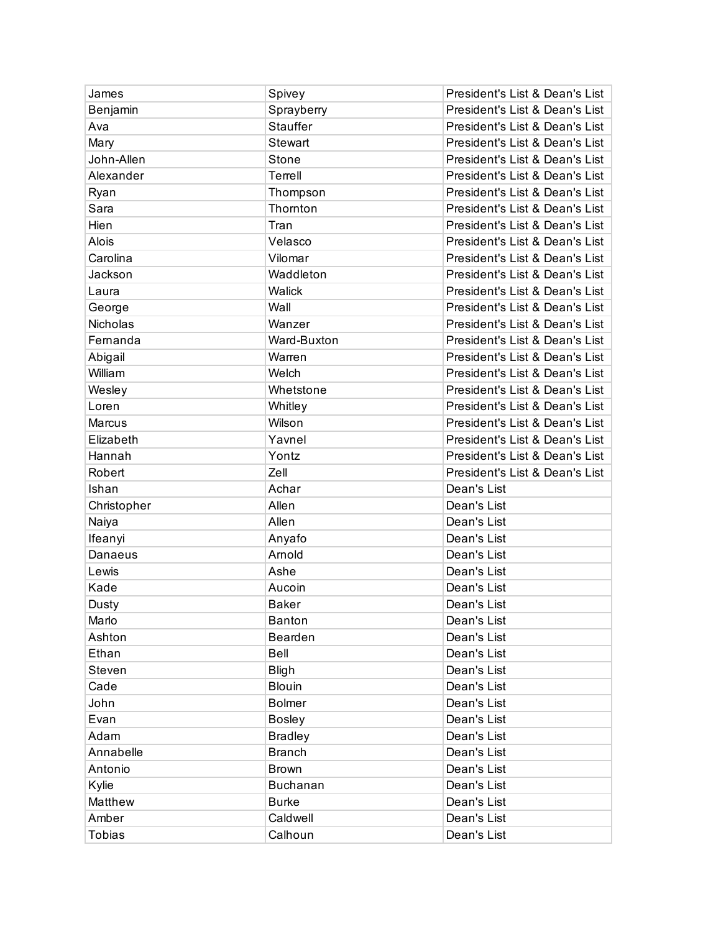| James        | Spivey          | President's List & Dean's List |
|--------------|-----------------|--------------------------------|
| Benjamin     | Sprayberry      | President's List & Dean's List |
| Ava          | <b>Stauffer</b> | President's List & Dean's List |
| Mary         | Stewart         | President's List & Dean's List |
| John-Allen   | Stone           | President's List & Dean's List |
| Alexander    | Terrell         | President's List & Dean's List |
| Ryan         | Thompson        | President's List & Dean's List |
| Sara         | Thornton        | President's List & Dean's List |
| Hien         | Tran            | President's List & Dean's List |
| <b>Alois</b> | Velasco         | President's List & Dean's List |
| Carolina     | Vilomar         | President's List & Dean's List |
| Jackson      | Waddleton       | President's List & Dean's List |
| Laura        | Walick          | President's List & Dean's List |
| George       | Wall            | President's List & Dean's List |
| Nicholas     | Wanzer          | President's List & Dean's List |
| Fernanda     | Ward-Buxton     | President's List & Dean's List |
| Abigail      | Warren          | President's List & Dean's List |
| William      | Welch           | President's List & Dean's List |
| Wesley       | Whetstone       | President's List & Dean's List |
| Loren        | Whitley         | President's List & Dean's List |
| Marcus       | Wilson          | President's List & Dean's List |
| Elizabeth    | Yavnel          | President's List & Dean's List |
| Hannah       | Yontz           | President's List & Dean's List |
| Robert       | Zell            | President's List & Dean's List |
| Ishan        | Achar           | Dean's List                    |
| Christopher  | Allen           | Dean's List                    |
| Naiya        | Allen           | Dean's List                    |
| Ifeanyi      | Anyafo          | Dean's List                    |
| Danaeus      | Arnold          | Dean's List                    |
| Lewis        | Ashe            | Dean's List                    |
| Kade         | Aucoin          | Dean's List                    |
| Dusty        | <b>Baker</b>    | Dean's List                    |
| Marlo        | <b>Banton</b>   | Dean's List                    |
| Ashton       | Bearden         | Dean's List                    |
| Ethan        | Bell            | Dean's List                    |
| Steven       | <b>Bligh</b>    | Dean's List                    |
| Cade         | <b>Blouin</b>   | Dean's List                    |
| John         | <b>Bolmer</b>   | Dean's List                    |
| Evan         | <b>Bosley</b>   | Dean's List                    |
| Adam         | <b>Bradley</b>  | Dean's List                    |
| Annabelle    | <b>Branch</b>   | Dean's List                    |
| Antonio      | <b>Brown</b>    | Dean's List                    |
| Kylie        | Buchanan        | Dean's List                    |
| Matthew      | <b>Burke</b>    | Dean's List                    |
| Amber        | Caldwell        | Dean's List                    |
|              |                 |                                |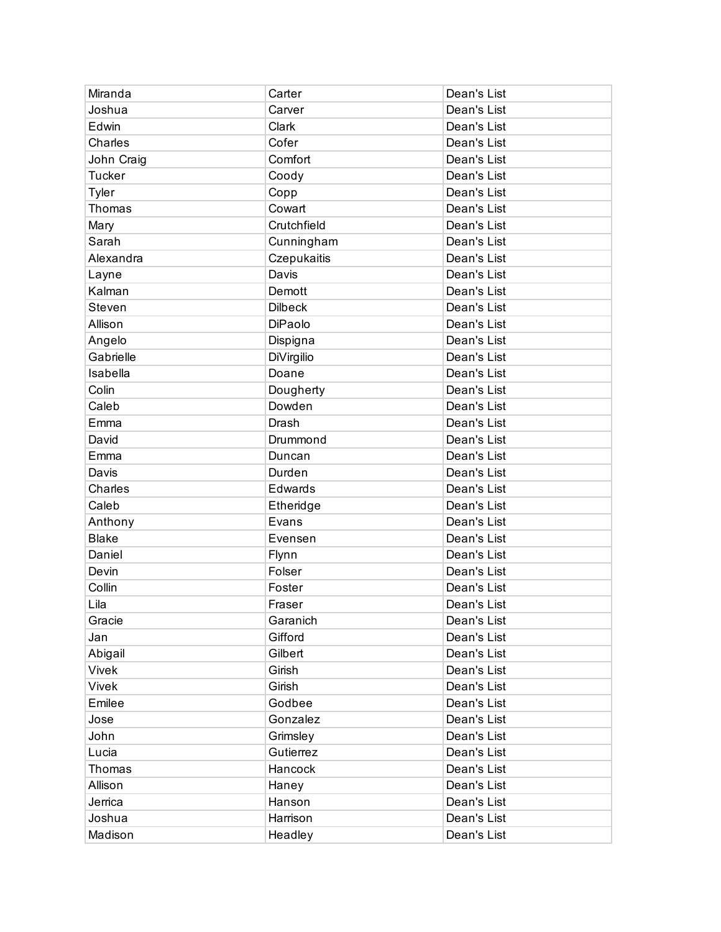| Miranda       | Carter         | Dean's List |
|---------------|----------------|-------------|
| Joshua        | Carver         | Dean's List |
| Edwin         | Clark          | Dean's List |
| Charles       | Cofer          | Dean's List |
| John Craig    | Comfort        | Dean's List |
| <b>Tucker</b> | Coody          | Dean's List |
| Tyler         | Copp           | Dean's List |
| Thomas        | Cowart         | Dean's List |
| Mary          | Crutchfield    | Dean's List |
| Sarah         | Cunningham     | Dean's List |
| Alexandra     | Czepukaitis    | Dean's List |
| Layne         | Davis          | Dean's List |
| Kalman        | Demott         | Dean's List |
| Steven        | <b>Dilbeck</b> | Dean's List |
| Allison       | DiPaolo        | Dean's List |
| Angelo        | Dispigna       | Dean's List |
| Gabrielle     | DiVirgilio     | Dean's List |
| Isabella      | Doane          | Dean's List |
| Colin         | Dougherty      | Dean's List |
| Caleb         | Dowden         | Dean's List |
| Emma          | Drash          | Dean's List |
| David         | Drummond       | Dean's List |
| Emma          | Duncan         | Dean's List |
| Davis         | Durden         | Dean's List |
| Charles       | Edwards        | Dean's List |
| Caleb         | Etheridge      | Dean's List |
| Anthony       | Evans          | Dean's List |
| <b>Blake</b>  | Evensen        | Dean's List |
| Daniel        | Flynn          | Dean's List |
| Devin         | Folser         | Dean's List |
| Collin        | Foster         | Dean's List |
| Lila          | Fraser         | Dean's List |
| Gracie        | Garanich       | Dean's List |
| Jan           | Gifford        | Dean's List |
| Abigail       | Gilbert        | Dean's List |
| Vivek         | Girish         | Dean's List |
| Vivek         | Girish         | Dean's List |
| Emilee        | Godbee         | Dean's List |
| Jose          | Gonzalez       | Dean's List |
| John          | Grimsley       | Dean's List |
| Lucia         | Gutierrez      | Dean's List |
| Thomas        | Hancock        | Dean's List |
| Allison       | Haney          | Dean's List |
| Jerrica       | Hanson         | Dean's List |
| Joshua        | Harrison       | Dean's List |
| Madison       | Headley        | Dean's List |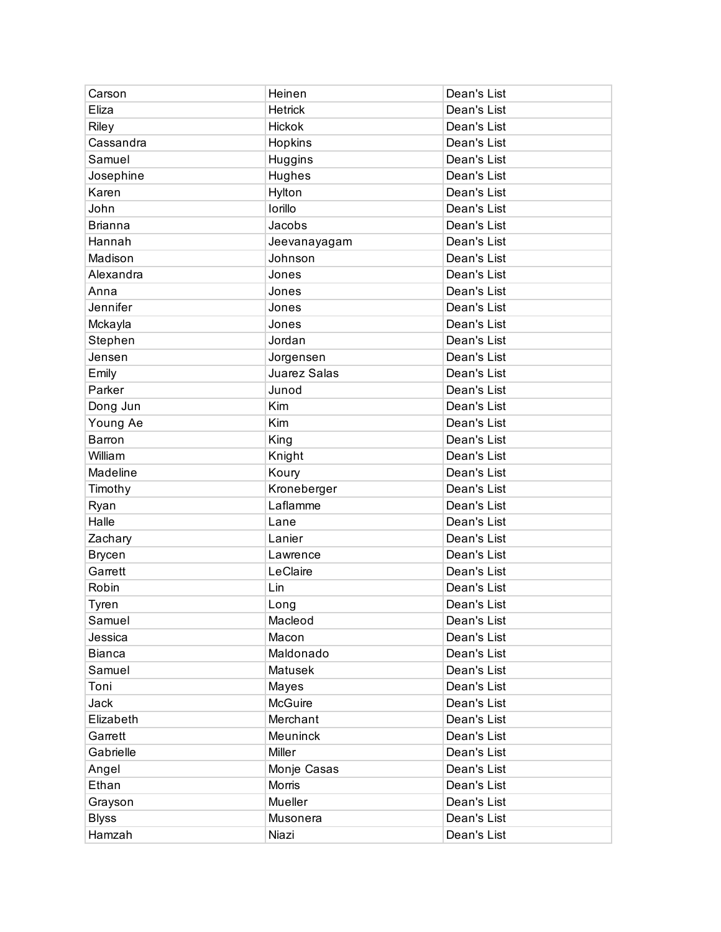| Carson         | Heinen          | Dean's List |
|----------------|-----------------|-------------|
| Eliza          | <b>Hetrick</b>  | Dean's List |
| Riley          | Hickok          | Dean's List |
| Cassandra      | Hopkins         | Dean's List |
| Samuel         | Huggins         | Dean's List |
| Josephine      | Hughes          | Dean's List |
| Karen          | Hylton          | Dean's List |
| John           | Iorillo         | Dean's List |
| <b>Brianna</b> | Jacobs          | Dean's List |
| Hannah         | Jeevanayagam    | Dean's List |
| Madison        | Johnson         | Dean's List |
| Alexandra      | Jones           | Dean's List |
| Anna           | Jones           | Dean's List |
| Jennifer       | Jones           | Dean's List |
| Mckayla        | Jones           | Dean's List |
| Stephen        | Jordan          | Dean's List |
| Jensen         | Jorgensen       | Dean's List |
| Emily          | Juarez Salas    | Dean's List |
| Parker         | Junod           | Dean's List |
| Dong Jun       | Kim             | Dean's List |
| Young Ae       | Kim             | Dean's List |
| Barron         | King            | Dean's List |
| William        | Knight          | Dean's List |
| Madeline       | Koury           | Dean's List |
| Timothy        | Kroneberger     | Dean's List |
| Ryan           | Laflamme        | Dean's List |
| Halle          | Lane            | Dean's List |
| Zachary        | Lanier          | Dean's List |
| <b>Brycen</b>  | Lawrence        | Dean's List |
| Garrett        | LeClaire        | Dean's List |
| Robin          | Lin             | Dean's List |
| Tyren          | Long            | Dean's List |
| Samuel         | Macleod         | Dean's List |
| Jessica        | Macon           | Dean's List |
| <b>Bianca</b>  | Maldonado       | Dean's List |
| Samuel         | <b>Matusek</b>  | Dean's List |
| Toni           | Mayes           | Dean's List |
| Jack           | McGuire         | Dean's List |
| Elizabeth      | Merchant        | Dean's List |
| Garrett        | <b>Meuninck</b> | Dean's List |
| Gabrielle      | <b>Miller</b>   | Dean's List |
| Angel          | Monje Casas     | Dean's List |
| Ethan          | Morris          | Dean's List |
| Grayson        | Mueller         | Dean's List |
| <b>Blyss</b>   | Musonera        | Dean's List |
| Hamzah         | Niazi           | Dean's List |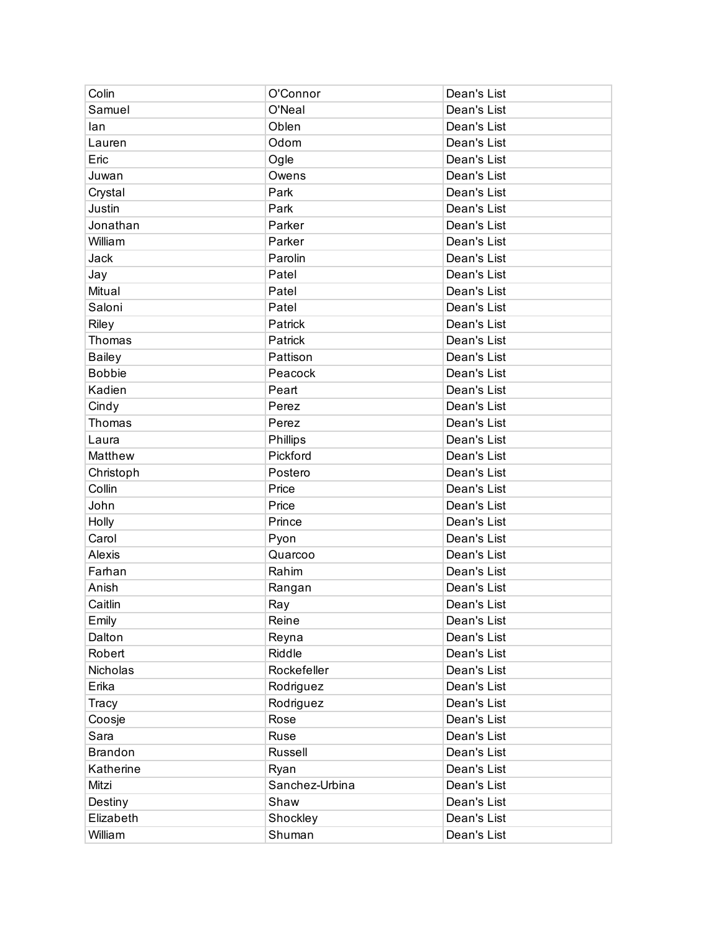| Colin          | O'Connor       | Dean's List |
|----------------|----------------|-------------|
| Samuel         | O'Neal         | Dean's List |
| lan            | Oblen          | Dean's List |
| Lauren         | Odom           | Dean's List |
| Eric           | Ogle           | Dean's List |
| Juwan          | Owens          | Dean's List |
| Crystal        | Park           | Dean's List |
| Justin         | Park           | Dean's List |
| Jonathan       | Parker         | Dean's List |
| William        | Parker         | Dean's List |
| Jack           | Parolin        | Dean's List |
| Jay            | Patel          | Dean's List |
| Mitual         | Patel          | Dean's List |
| Saloni         | Patel          | Dean's List |
| Riley          | Patrick        | Dean's List |
| Thomas         | Patrick        | Dean's List |
| <b>Bailey</b>  | Pattison       | Dean's List |
| <b>Bobbie</b>  | Peacock        | Dean's List |
| Kadien         | Peart          | Dean's List |
| Cindy          | Perez          | Dean's List |
| Thomas         | Perez          | Dean's List |
| Laura          | Phillips       | Dean's List |
| Matthew        | Pickford       | Dean's List |
| Christoph      | Postero        | Dean's List |
| Collin         | Price          | Dean's List |
| John           | Price          | Dean's List |
| Holly          | Prince         | Dean's List |
| Carol          | Pyon           | Dean's List |
| Alexis         | Quarcoo        | Dean's List |
| Farhan         | Rahim          | Dean's List |
| Anish          | Rangan         | Dean's List |
| Caitlin        | Ray            | Dean's List |
| Emily          | Reine          | Dean's List |
| Dalton         | Reyna          | Dean's List |
| Robert         | Riddle         | Dean's List |
| Nicholas       | Rockefeller    | Dean's List |
| Erika          | Rodriguez      | Dean's List |
| Tracy          | Rodriguez      | Dean's List |
| Coosje         | Rose           | Dean's List |
| Sara           | Ruse           | Dean's List |
| <b>Brandon</b> | Russell        | Dean's List |
| Katherine      | Ryan           | Dean's List |
| Mitzi          | Sanchez-Urbina | Dean's List |
| Destiny        | Shaw           | Dean's List |
| Elizabeth      | Shockley       | Dean's List |
| William        | Shuman         | Dean's List |
|                |                |             |